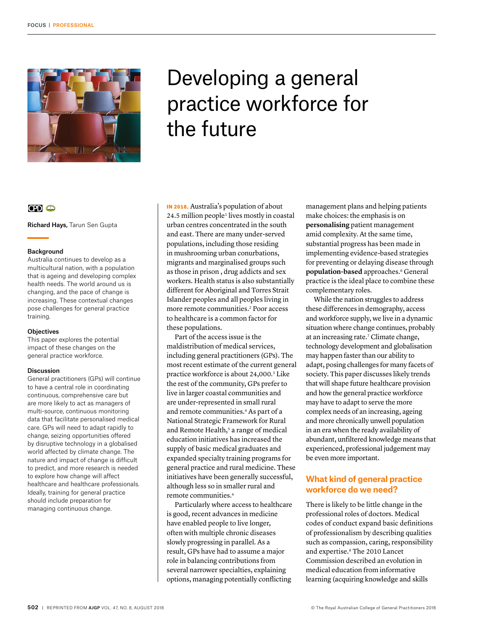

# Developing a general practice workforce for the future

## $CD<sub>o</sub>$

Richard Hays, Tarun Sen Gupta

#### Background

Australia continues to develop as a multicultural nation, with a population that is ageing and developing complex health needs. The world around us is changing, and the pace of change is increasing. These contextual changes pose challenges for general practice training.

#### **Objectives**

This paper explores the potential impact of these changes on the general practice workforce.

#### Discussion

General practitioners (GPs) will continue to have a central role in coordinating continuous, comprehensive care but are more likely to act as managers of multi-source, continuous monitoring data that facilitate personalised medical care. GPs will need to adapt rapidly to change, seizing opportunities offered by disruptive technology in a globalised world affected by climate change. The nature and impact of change is difficult to predict, and more research is needed to explore how change will affect healthcare and healthcare professionals. Ideally, training for general practice should include preparation for managing continuous change.

IN 2018, Australia's population of about 24.5 million people<sup>1</sup> lives mostly in coastal urban centres concentrated in the south and east. There are many under-served populations, including those residing in mushrooming urban conurbations, migrants and marginalised groups such as those in prison , drug addicts and sex workers. Health status is also substantially different for Aboriginal and Torres Strait Islander peoples and all peoples living in more remote communities.2 Poor access to healthcare is a common factor for these populations.

Part of the access issue is the maldistribution of medical services, including general practitioners (GPs). The most recent estimate of the current general practice workforce is about 24,000. 3 Like the rest of the community, GPs prefer to live in larger coastal communities and are under-represented in small rural and remote communities.<sup>4</sup> As part of a National Strategic Framework for Rural and Remote Health,<sup>5</sup> a range of medical education initiatives has increased the supply of basic medical graduates and expanded specialty training programs for general practice and rural medicine. These initiatives have been generally successful, although less so in smaller rural and remote communities.4

Particularly where access to healthcare is good, recent advances in medicine have enabled people to live longer, often with multiple chronic diseases slowly progressing in parallel. As a result, GPs have had to assume a major role in balancing contributions from several narrower specialties, explaining options, managing potentially conflicting

management plans and helping patients make choices: the emphasis is on **personalising** patient management amid complexity. At the same time, substantial progress has been made in implementing evidence-based strategies for preventing or delaying disease through **population-based** approaches.<sup>6</sup> General practice is the ideal place to combine these complementary roles.

While the nation struggles to address these differences in demography, access and workforce supply, we live in a dynamic situation where change continues, probably at an increasing rate.7 Climate change, technology development and globalisation may happen faster than our ability to adapt, posing challenges for many facets of society. This paper discusses likely trends that will shape future healthcare provision and how the general practice workforce may have to adapt to serve the more complex needs of an increasing, ageing and more chronically unwell population in an era when the ready availability of abundant, unfiltered knowledge means that experienced, professional judgement may be even more important.

## **What kind of general practice workforce do we need?**

There is likely to be little change in the professional roles of doctors. Medical codes of conduct expand basic definitions of professionalism by describing qualities such as compassion, caring, responsibility and expertise.8 The 2010 Lancet Commission described an evolution in medical education from informative learning (acquiring knowledge and skills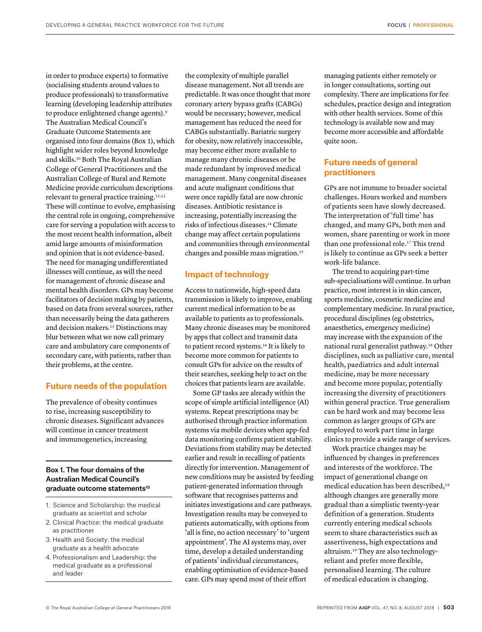in order to produce experts) to formative (socialising students around values to produce professionals) to transformative learning (developing leadership attributes to produce enlightened change agents).9 The Australian Medical Council's Graduate Outcome Statements are organised into four domains (Box 1), which highlight wider roles beyond knowledge and skills.10 Both The Royal Australian College of General Practitioners and the Australian College of Rural and Remote Medicine provide curriculum descriptions relevant to general practice training.<sup>11,12</sup> These will continue to evolve, emphasising the central role in ongoing, comprehensive care for serving a population with access to the most recent health information, albeit amid large amounts of misinformation and opinion that is not evidence-based. The need for managing undifferentiated illnesses will continue, as will the need for management of chronic disease and mental health disorders. GPs may become facilitators of decision making by patients, based on data from several sources, rather than necessarily being the data gatherers and decision makers.13 Distinctions may blur between what we now call primary care and ambulatory care components of secondary care, with patients, rather than their problems, at the centre.

## **Future needs of the population**

The prevalence of obesity continues to rise, increasing susceptibility to chronic diseases. Significant advances will continue in cancer treatment and immunogenetics, increasing

## Box 1. The four domains of the Australian Medical Council's graduate outcome statements<sup>10</sup>

- 1. Science and Scholarship: the medical graduate as scientist and scholar
- 2. Clinical Practice: the medical graduate as practitioner
- 3. Health and Society: the medical graduate as a health advocate
- 4. Professionalism and Leadership: the medical graduate as a professional and leader

the complexity of multiple parallel disease management. Not all trends are predictable. It was once thought that more coronary artery bypass grafts (CABGs) would be necessary; however, medical management has reduced the need for CABGs substantially. Bariatric surgery for obesity, now relatively inaccessible, may become either more available to manage many chronic diseases or be made redundant by improved medical management. Many congenital diseases and acute malignant conditions that were once rapidly fatal are now chronic diseases. Antibiotic resistance is increasing, potentially increasing the risks of infectious diseases.14 Climate change may affect certain populations and communities through environmental changes and possible mass migration.15

## **Impact of technology**

Access to nationwide, high-speed data transmission is likely to improve, enabling current medical information to be as available to patients as to professionals. Many chronic diseases may be monitored by apps that collect and transmit data to patient record systems.<sup>16</sup> It is likely to become more common for patients to consult GPs for advice on the results of their searches, seeking help to act on the choices that patients learn are available.

Some GP tasks are already within the scope of simple artificial intelligence (AI) systems. Repeat prescriptions may be authorised through practice information systems via mobile devices when app-fed data monitoring confirms patient stability. Deviations from stability may be detected earlier and result in recalling of patients directly for intervention. Management of new conditions may be assisted by feeding patient-generated information through software that recognises patterns and initiates investigations and care pathways. Investigation results may be conveyed to patients automatically, with options from 'all is fine, no action necessary' to 'urgent appointment'. The AI systems may, over time, develop a detailed understanding of patients' individual circumstances, enabling optimisation of evidence-based care. GPs may spend most of their effort

managing patients either remotely or in longer consultations, sorting out complexity. There are implications for fee schedules, practice design and integration with other health services. Some of this technology is available now and may become more accessible and affordable quite soon.

## **Future needs of general practitioners**

GPs are not immune to broader societal challenges. Hours worked and numbers of patients seen have slowly decreased. The interpretation of 'full time' has changed, and many GPs, both men and women, share parenting or work in more than one professional role.<sup>17</sup> This trend is likely to continue as GPs seek a better work–life balance.

The trend to acquiring part-time sub-specialisations will continue. In urban practice, most interest is in skin cancer, sports medicine, cosmetic medicine and complementary medicine. In rural practice, procedural disciplines (eg obstetrics, anaesthetics, emergency medicine) may increase with the expansion of the national rural generalist pathway.18 Other disciplines, such as palliative care, mental health, paediatrics and adult internal medicine, may be more necessary and become more popular, potentially increasing the diversity of practitioners within general practice. True generalism can be hard work and may become less common as larger groups of GPs are employed to work part time in large clinics to provide a wide range of services.

Work practice changes may be influenced by changes in preferences and interests of the workforce. The impact of generational change on medical education has been described,19 although changes are generally more gradual than a simplistic twenty-year definition of a generation. Students currently entering medical schools seem to share characteristics such as assertiveness, high expectations and altruism.19 They are also technologyreliant and prefer more flexible, personalised learning. The culture of medical education is changing.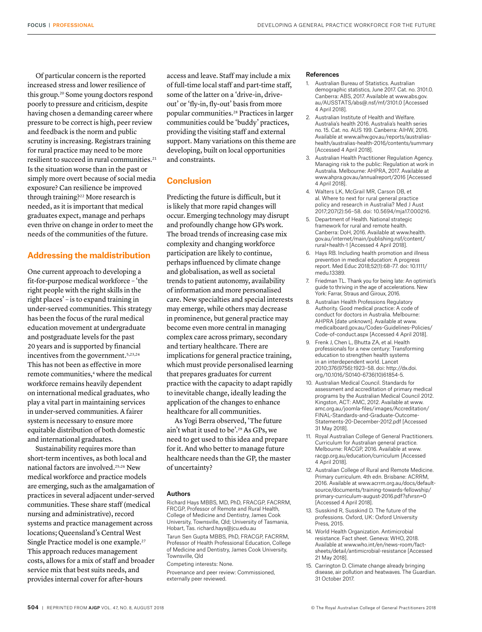Of particular concern is the reported increased stress and lower resilience of this group.20 Some young doctors respond poorly to pressure and criticism, despite having chosen a demanding career where pressure to be correct is high, peer review and feedback is the norm and public scrutiny is increasing. Registrars training for rural practice may need to be more resilient to succeed in rural communities.<sup>21</sup> Is the situation worse than in the past or simply more overt because of social media exposure? Can resilience be improved through training?22 More research is needed, as it is important that medical graduates expect, manage and perhaps even thrive on change in order to meet the needs of the communities of the future.

## **Addressing the maldistribution**

One current approach to developing a fit-for-purpose medical workforce – 'the right people with the right skills in the right places' – is to expand training in under-served communities. This strategy has been the focus of the rural medical education movement at undergraduate and postgraduate levels for the past 20 years and is supported by financial incentives from the government.<sup>5,23,24</sup> This has not been as effective in more remote communities,<sup>4</sup> where the medical workforce remains heavily dependent on international medical graduates, who play a vital part in maintaining services in under-served communities. A fairer system is necessary to ensure more equitable distribution of both domestic and international graduates.

Sustainability requires more than short-term incentives, as both local and national factors are involved.25,26 New medical workforce and practice models are emerging, such as the amalgamation of practices in several adjacent under-served communities. These share staff (medical nursing and administrative), record systems and practice management across locations; Queensland's Central West Single Practice model is one example.27 This approach reduces management costs, allows for a mix of staff and broader service mix that best suits needs, and provides internal cover for after-hours

access and leave. Staff may include a mix of full-time local staff and part-time staff, some of the latter on a 'drive-in, driveout' or 'fly-in, fly-out' basis from more popular communities.28 Practices in larger communities could be 'buddy' practices, providing the visiting staff and external support. Many variations on this theme are developing, built on local opportunities and constraints.

## **Conclusion**

Predicting the future is difficult, but it is likely that more rapid changes will occur. Emerging technology may disrupt and profoundly change how GPs work. The broad trends of increasing case mix complexity and changing workforce participation are likely to continue, perhaps influenced by climate change and globalisation, as well as societal trends to patient autonomy, availability of information and more personalised care. New specialties and special interests may emerge, while others may decrease in prominence, but general practice may become even more central in managing complex care across primary, secondary and tertiary healthcare. There are implications for general practice training, which must provide personalised learning that prepares graduates for current practice with the capacity to adapt rapidly to inevitable change, ideally leading the application of the changes to enhance healthcare for all communities.

As Yogi Berra observed, 'The future ain't what it used to be'.29 As GPs, we need to get used to this idea and prepare for it. And who better to manage future healthcare needs than the GP, the master of uncertainty?

#### Authors

Richard Hays MBBS, MD, PhD, FRACGP, FACRRM, FRCGP, Professor of Remote and Rural Health, College of Medicine and Dentistry, James Cook University, Townsville, Qld; University of Tasmania, Hobart, Tas. [richard.hays@jcu.edu.au](mailto:richard.hays@jcu.edu.au) Tarun Sen Gupta MBBS, PhD, FRACGP, FACRRM, Professor of Health Professional Education, College of Medicine and Dentistry, James Cook University, Townsville, Qld

Competing interests: None.

Provenance and peer review: Commissioned, externally peer reviewed.

#### References

- 1. Australian Bureau of Statistics. Australian demographic statistics, June 2017. Cat. no. 3101.0. Canberra: ABS, 2017. Available at www.abs.gov. au/AUSSTATS/abs@.nsf/mf/3101.0 [Accessed 4 April 2018].
- 2. Australian Institute of Health and Welfare. Australia's health 2016. Australia's health series no. 15. Cat. no. AUS 199. Canberra: AIHW, 2016. Available at www.aihw.gov.au/reports/australiashealth/australias-health-2016/contents/summary [Accessed 4 April 2018].
- 3. Australian Health Practitioner Regulation Agency. Managing risk to the public: Regulation at work in Australia. Melbourne: AHPRA, 2017. Available at www.ahpra.gov.au/annualreport/2016 [Accessed 4 April 2018].
- 4. Walters LK, McGrail MR, Carson DB, et al. Where to next for rural general practice policy and research in Australia? Med J Aust 2017;207(2):56–58. doi: 10.5694/mja17.000216.
- 5. Department of Health. National strategic framework for rural and remote health. Canberra: DoH, 2016. Available at www.health. gov.au/internet/main/publishing.nsf/content/ rural+health-1 [Accessed 4 April 2018].
- 6. Hays RB. Including health promotion and illness prevention in medical education: A progress report. Med Educ 2018;52(1):68–77. doi: 10.1111/ medu.13389.
- 7. Friedman TL. Thank you for being late: An optimist's guide to thriving in the age of accelerations. New York: Farrar, Straus and Giroux, 2016.
- 8. Australian Health Professions Regulatory Authority. Good medical practice: A code of conduct for doctors in Australia. Melbourne: AHPRA [date unknown]. Available at www. medicalboard.gov.au/Codes-Guidelines-Policies/ Code-of-conduct.aspx [Accessed 4 April 2018].
- 9. Frenk J, Chen L, Bhutta ZA, et al. Health professionals for a new century: Transforming education to strengthen health systems in an interdependent world. Lancet 2010;376(9756):1923–58. doi: http://dx.doi. org/10.1016/S0140-6736(10)61854-5.
- 10. Australian Medical Council. Standards for assessment and accreditation of primary medical programs by the Australian Medical Council 2012. Kingston, ACT: AMC, 2012. Available at www. amc.org.au/joomla-files/images/Accreditation/ FINAL-Standards-and-Graduate-Outcome-Statements-20-December-2012.pdf [Accessed 31 May 2018].
- 11. Royal Australian College of General Practitioners. Curriculum for Australian general practice. Melbourne: RACGP, 2016. Available at www. racgp.org.au/education/curriculum [Accessed 4 April 2018].
- 12. Australian College of Rural and Remote Medicine. Primary curriculum. 4th edn. Brisbane: ACRRM, 2016. Available at www.acrrm.org.au/docs/defaultsource/documents/training-towards-fellowship/ primary-curriculum-august-2016.pdf?sfvrsn=0 [Accessed 4 April 2018].
- 13. Susskind R, Susskind D. The future of the professions. Oxford, UK: Oxford University Press, 2015.
- 14. World Health Organization. Antimicrobial resistance. Fact sheet. Geneva: WHO, 2018. Available at www.who.int/en/news-room/factsheets/detail/antimicrobial-resistance [Accessed 21 May 2018].
- 15. Carrington D. Climate change already bringing disease, air pollution and heatwaves. The Guardian. 31 October 2017.